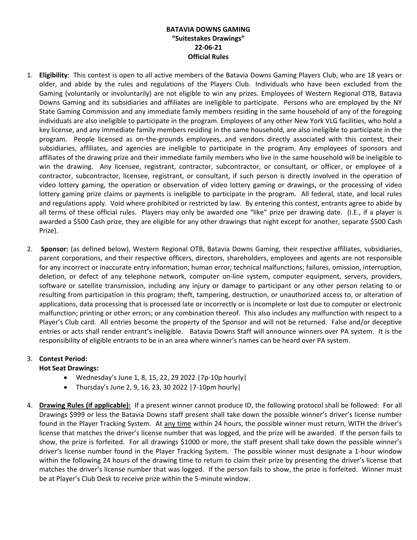## **BATAVIA DOWNS GAMING "Suitestakes Drawings" 22-06-21 Official Rules**

- 1. **Eligibility**: This contest is open to all active members of the Batavia Downs Gaming Players Club, who are 18 years or older, and abide by the rules and regulations of the Players Club. Individuals who have been excluded from the Gaming (voluntarily or involuntarily) are not eligible to win any prizes. Employees of Western Regional OTB, Batavia Downs Gaming and its subsidiaries and affiliates are ineligible to participate. Persons who are employed by the NY State Gaming Commission and any immediate family members residing in the same household of any of the foregoing individuals are also ineligible to participate in the program. Employees of any other New York VLG facilities, who hold a key license, and any immediate family members residing in the same household, are also ineligible to participate in the program. People licensed as on-the-grounds employees, and vendors directly associated with this contest, their subsidiaries, affiliates, and agencies are ineligible to participate in the program. Any employees of sponsors and affiliates of the drawing prize and their immediate family members who live in the same household will be ineligible to win the drawing. Any licensee, registrant, contractor, subcontractor, or consultant, or officer, or employee of a contractor, subcontractor, licensee, registrant, or consultant, if such person is directly involved in the operation of video lottery gaming, the operation or observation of video lottery gaming or drawings, or the processing of video lottery gaming prize claims or payments is ineligible to participate in the program. All federal, state, and local rules and regulations apply. Void where prohibited or restricted by law. By entering this contest, entrants agree to abide by all terms of these official rules. Players may only be awarded one "like" prize per drawing date. (I.E., if a player is awarded a \$500 Cash prize, they are eligible for any other drawings that night except for another, separate \$500 Cash Prize).
- 2. **Sponsor:** (as defined below), Western Regional OTB, Batavia Downs Gaming, their respective affiliates, subsidiaries, parent corporations, and their respective officers, directors, shareholders, employees and agents are not responsible for any incorrect or inaccurate entry information; human error; technical malfunctions; failures, omission, interruption, deletion, or defect of any telephone network, computer on-line system, computer equipment, servers, providers, software or satellite transmission, including any injury or damage to participant or any other person relating to or resulting from participation in this program; theft, tampering, destruction, or unauthorized access to, or alteration of applications, data processing that is processed late or incorrectly or is incomplete or lost due to computer or electronic malfunction; printing or other errors; or any combination thereof. This also includes any malfunction with respect to a Player's Club card. All entries become the property of the Sponsor and will not be returned. False and/or deceptive entries or acts shall render entrant's ineligible. Batavia Downs Staff will announce winners over PA system. It is the responsibility of eligible entrants to be in an area where winner's names can be heard over PA system.

## 3. **Contest Period:**

## **Hot Seat Drawings:**

- Wednesday's June 1, 8, 15, 22, 29 2022 |7p-10p hourly|
- Thursday's June 2, 9, 16, 23, 30 2022  $|7-10$ pm hourly
- 4. **Drawing Rules (if applicable):** If a present winner cannot produce ID, the following protocol shall be followed: For all Drawings \$999 or less the Batavia Downs staff present shall take down the possible winner's driver's license number found in the Player Tracking System. At any time within 24 hours, the possible winner must return, WITH the driver's license that matches the driver's license number that was logged, and the prize will be awarded. If the person fails to show, the prize is forfeited. For all drawings \$1000 or more, the staff present shall take down the possible winner's driver's license number found in the Player Tracking System. The possible winner must designate a 1-hour window within the following 24 hours of the drawing time to return to claim their prize by presenting the driver's license that matches the driver's license number that was logged. If the person fails to show, the prize is forfeited. Winner must be at Player's Club Desk to receive prize within the 5-minute window.